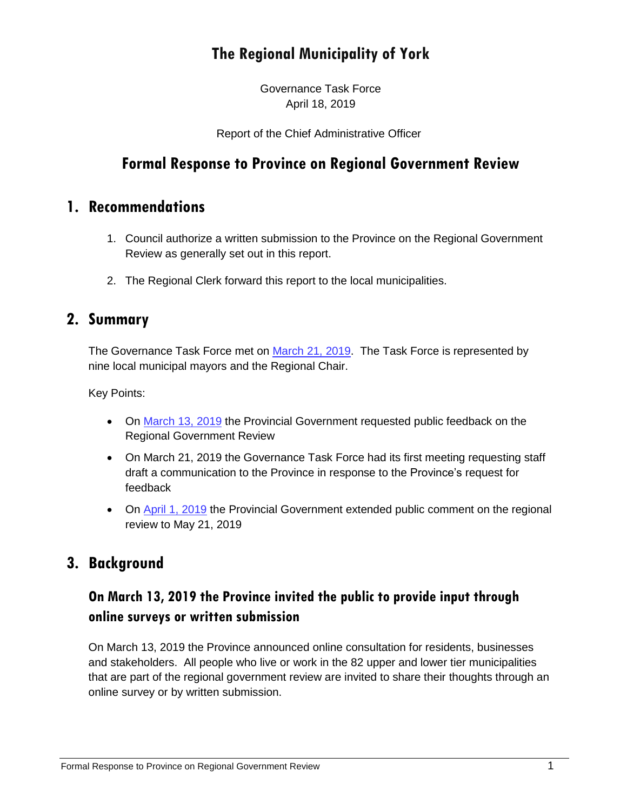## **The Regional Municipality of York**

Governance Task Force April 18, 2019

Report of the Chief Administrative Officer

### **Formal Response to Province on Regional Government Review**

### **1. Recommendations**

- 1. Council authorize a written submission to the Province on the Regional Government Review as generally set out in this report.
- 2. The Regional Clerk forward this report to the local municipalities.

#### **2. Summary**

The Governance Task Force met on [March 21, 2019.](https://yorkpublishing.escribemeetings.com/Meeting.aspx?Id=20e3066b-80f2-4fdf-808a-051c6a4a6097&Agenda=Merged&lang=English) The Task Force is represented by nine local municipal mayors and the Regional Chair.

Key Points:

- On [March 13, 2019](https://www.ontario.ca/page/consultation-regional-government-review) the Provincial Government requested public feedback on the Regional Government Review
- On March 21, 2019 the Governance Task Force had its first meeting requesting staff draft a communication to the Province in response to the Province's request for feedback
- On [April 1, 2019](https://news.ontario.ca/mma/en/2019/4/ontario-invites-public-presentations-on-regional-government-review.html) the Provincial Government extended public comment on the regional review to May 21, 2019

### **3. Background**

### **On March 13, 2019 the Province invited the public to provide input through online surveys or written submission**

On March 13, 2019 the Province announced online consultation for residents, businesses and stakeholders. All people who live or work in the 82 upper and lower tier municipalities that are part of the regional government review are invited to share their thoughts through an online survey or by written submission.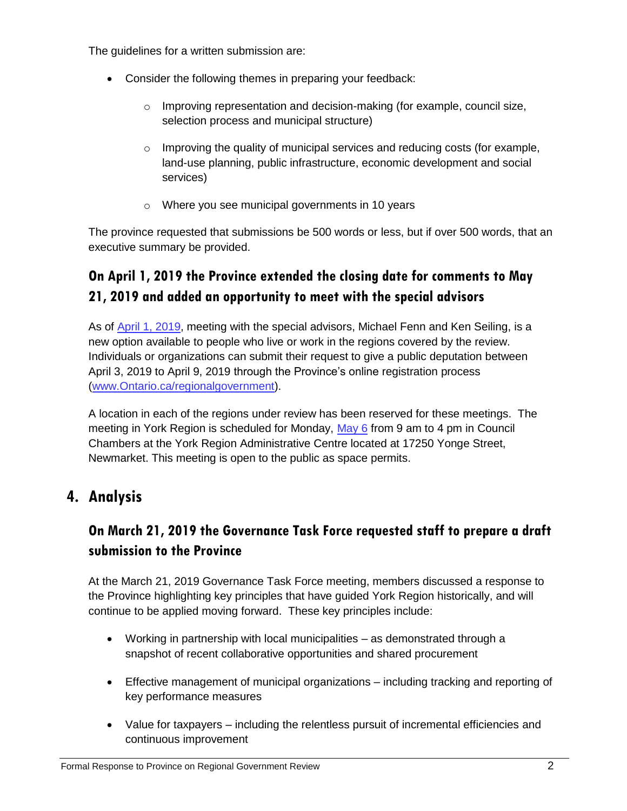The guidelines for a written submission are:

- Consider the following themes in preparing your feedback:
	- o Improving representation and decision-making (for example, council size, selection process and municipal structure)
	- $\circ$  Improving the quality of municipal services and reducing costs (for example, land-use planning, public infrastructure, economic development and social services)
	- o Where you see municipal governments in 10 years

The province requested that submissions be 500 words or less, but if over 500 words, that an executive summary be provided.

### **On April 1, 2019 the Province extended the closing date for comments to May 21, 2019 and added an opportunity to meet with the special advisors**

As of [April 1, 2019,](https://news.ontario.ca/mma/en/2019/4/ontario-invites-public-presentations-on-regional-government-review.html) meeting with the special advisors, Michael Fenn and Ken Seiling, is a new option available to people who live or work in the regions covered by the review. Individuals or organizations can submit their request to give a public deputation between April 3, 2019 to April 9, 2019 through the Province's online registration process [\(www.Ontario.ca/regionalgovernment\)](http://www.ontario.ca/regionalgovernment).

A location in each of the regions under review has been reserved for these meetings. The meeting in York Region is scheduled for Monday, [May 6](https://www.ontario.ca/page/consultation-regional-government-review) from 9 am to 4 pm in Council Chambers at the York Region Administrative Centre located at 17250 Yonge Street, Newmarket. This meeting is open to the public as space permits.

### **4. Analysis**

### **On March 21, 2019 the Governance Task Force requested staff to prepare a draft submission to the Province**

At the March 21, 2019 Governance Task Force meeting, members discussed a response to the Province highlighting key principles that have guided York Region historically, and will continue to be applied moving forward. These key principles include:

- Working in partnership with local municipalities as demonstrated through a snapshot of recent collaborative opportunities and shared procurement
- Effective management of municipal organizations including tracking and reporting of key performance measures
- Value for taxpayers including the relentless pursuit of incremental efficiencies and continuous improvement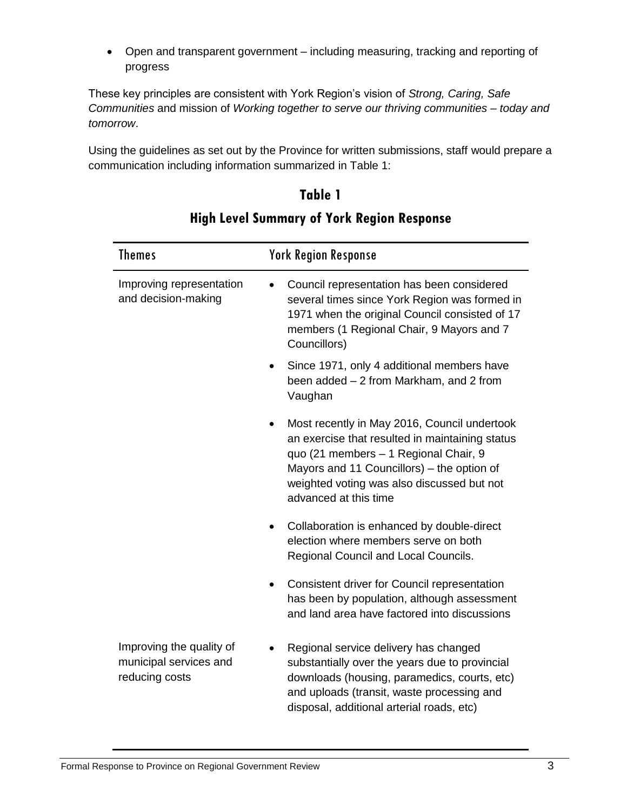Open and transparent government – including measuring, tracking and reporting of progress

These key principles are consistent with York Region's vision of *Strong, Caring, Safe Communities* and mission of *Working together to serve our thriving communities – today and tomorrow*.

Using the guidelines as set out by the Province for written submissions, staff would prepare a communication including information summarized in Table 1:

**Table 1**

| <b>Themes</b>                                                        | <b>York Region Response</b>                                                                                                                                                                                                                                   |
|----------------------------------------------------------------------|---------------------------------------------------------------------------------------------------------------------------------------------------------------------------------------------------------------------------------------------------------------|
| Improving representation<br>and decision-making                      | Council representation has been considered<br>several times since York Region was formed in<br>1971 when the original Council consisted of 17<br>members (1 Regional Chair, 9 Mayors and 7<br>Councillors)                                                    |
|                                                                      | Since 1971, only 4 additional members have<br>been added - 2 from Markham, and 2 from<br>Vaughan                                                                                                                                                              |
|                                                                      | Most recently in May 2016, Council undertook<br>an exercise that resulted in maintaining status<br>quo (21 members - 1 Regional Chair, 9<br>Mayors and 11 Councillors) - the option of<br>weighted voting was also discussed but not<br>advanced at this time |
|                                                                      | Collaboration is enhanced by double-direct<br>election where members serve on both<br>Regional Council and Local Councils.                                                                                                                                    |
|                                                                      | Consistent driver for Council representation<br>$\bullet$<br>has been by population, although assessment<br>and land area have factored into discussions                                                                                                      |
| Improving the quality of<br>municipal services and<br>reducing costs | Regional service delivery has changed<br>substantially over the years due to provincial<br>downloads (housing, paramedics, courts, etc)<br>and uploads (transit, waste processing and<br>disposal, additional arterial roads, etc)                            |

### **High Level Summary of York Region Response**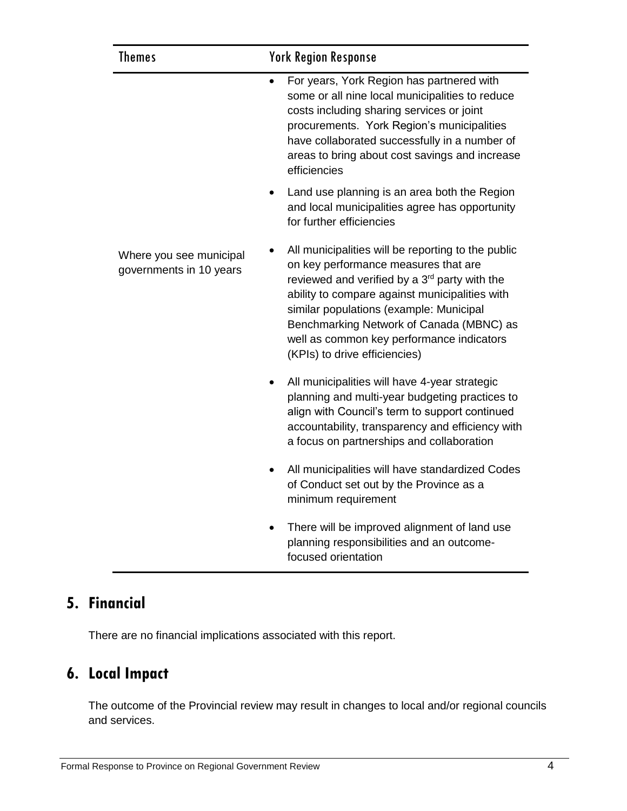| <b>Themes</b>                                      | <b>York Region Response</b>                                                                                                                                                                                                                                                                                                                                                    |
|----------------------------------------------------|--------------------------------------------------------------------------------------------------------------------------------------------------------------------------------------------------------------------------------------------------------------------------------------------------------------------------------------------------------------------------------|
|                                                    | For years, York Region has partnered with<br>some or all nine local municipalities to reduce<br>costs including sharing services or joint<br>procurements. York Region's municipalities<br>have collaborated successfully in a number of<br>areas to bring about cost savings and increase<br>efficiencies                                                                     |
|                                                    | Land use planning is an area both the Region<br>and local municipalities agree has opportunity<br>for further efficiencies                                                                                                                                                                                                                                                     |
| Where you see municipal<br>governments in 10 years | All municipalities will be reporting to the public<br>on key performance measures that are<br>reviewed and verified by a 3 <sup>rd</sup> party with the<br>ability to compare against municipalities with<br>similar populations (example: Municipal<br>Benchmarking Network of Canada (MBNC) as<br>well as common key performance indicators<br>(KPIs) to drive efficiencies) |
|                                                    | All municipalities will have 4-year strategic<br>planning and multi-year budgeting practices to<br>align with Council's term to support continued<br>accountability, transparency and efficiency with<br>a focus on partnerships and collaboration                                                                                                                             |
|                                                    | All municipalities will have standardized Codes<br>of Conduct set out by the Province as a<br>minimum requirement                                                                                                                                                                                                                                                              |
|                                                    | There will be improved alignment of land use<br>$\bullet$<br>planning responsibilities and an outcome-<br>focused orientation                                                                                                                                                                                                                                                  |

# **5. Financial**

There are no financial implications associated with this report.

# **6. Local Impact**

The outcome of the Provincial review may result in changes to local and/or regional councils and services.